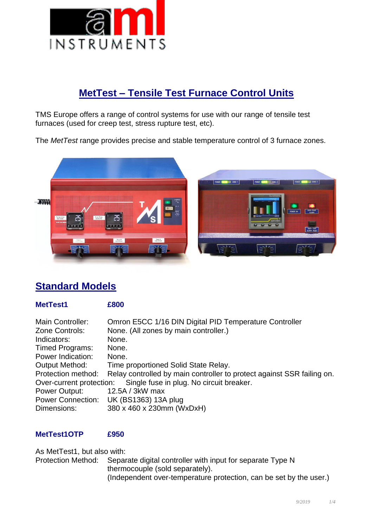

# **MetTest – Tensile Test Furnace Control Units**

TMS Europe offers a range of control systems for use with our range of tensile test furnaces (used for creep test, stress rupture test, etc).

The *MetTest* range provides precise and stable temperature control of 3 furnace zones.



# **Standard Models**

### **MetTest1 £800**

| Main Controller:      | Omron E5CC 1/16 DIN Digital PID Temperature Controller                 |
|-----------------------|------------------------------------------------------------------------|
| Zone Controls:        | None. (All zones by main controller.)                                  |
| Indicators:           | None.                                                                  |
| Timed Programs:       | None.                                                                  |
| Power Indication:     | None.                                                                  |
| <b>Output Method:</b> | Time proportioned Solid State Relay.                                   |
| Protection method:    | Relay controlled by main controller to protect against SSR failing on. |
|                       | Over-current protection: Single fuse in plug. No circuit breaker.      |
| Power Output:         | 12.5A / 3kW max                                                        |
|                       | Power Connection: UK (BS1363) 13A plug                                 |
| Dimensions:           | 380 x 460 x 230mm (WxDxH)                                              |

### **MetTest1OTP £950**

thermocouple (sold separately). (Independent over-temperature protection, can be set by the user.) As MetTest1, but also with: Protection Method: Separate digital controller with input for separate Type N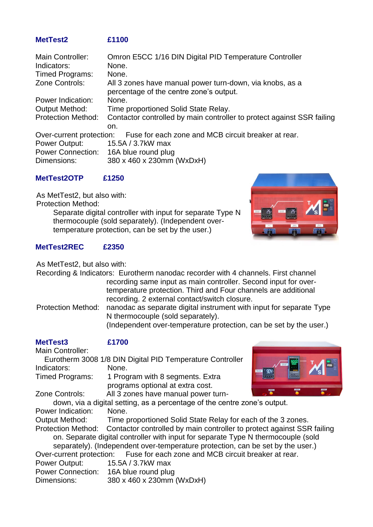# **MetTest2 £1100**

| Main Controller:                                                             | Omron E5CC 1/16 DIN Digital PID Temperature Controller                                              |  |
|------------------------------------------------------------------------------|-----------------------------------------------------------------------------------------------------|--|
| Indicators:                                                                  | None.                                                                                               |  |
| Timed Programs:                                                              | None.                                                                                               |  |
| Zone Controls:                                                               | All 3 zones have manual power turn-down, via knobs, as a<br>percentage of the centre zone's output. |  |
| Power Indication:                                                            | None.                                                                                               |  |
| <b>Output Method:</b>                                                        | Time proportioned Solid State Relay.                                                                |  |
| <b>Protection Method:</b>                                                    | Contactor controlled by main controller to protect against SSR failing<br>on.                       |  |
| Over-current protection: Fuse for each zone and MCB circuit breaker at rear. |                                                                                                     |  |
| Power Output:                                                                | 15.5A / 3.7kW max                                                                                   |  |
| Power Connection: 16A blue round plug                                        |                                                                                                     |  |
| Dimensions:                                                                  | 380 x 460 x 230mm (WxDxH)                                                                           |  |

## **MetTest2OTP £1250**

As MetTest2, but also with: Protection Method: Separate digital controller with input for separate Type N thermocouple (sold separately). (Independent overtemperature protection, can be set by the user.)



## **MetTest2REC £2350**

As MetTest2, but also with:

Recording & Indicators: Eurotherm nanodac recorder with 4 channels. First channel recording same input as main controller. Second input for overtemperature protection. Third and Four channels are additional recording. 2 external contact/switch closure.

Protection Method: nanodac as separate digital instrument with input for separate Type N thermocouple (sold separately).

(Independent over-temperature protection, can be set by the user.)

| <b>MetTest3</b>                                                           | £1700                                                                             |               |
|---------------------------------------------------------------------------|-----------------------------------------------------------------------------------|---------------|
| Main Controller:                                                          |                                                                                   |               |
|                                                                           | Eurotherm 3008 1/8 DIN Digital PID Temperature Controller                         |               |
| Indicators:                                                               | None.                                                                             |               |
| <b>Timed Programs:</b>                                                    | 1 Program with 8 segments. Extra                                                  | $\frac{a}{2}$ |
|                                                                           | programs optional at extra cost.                                                  | <b>STATE</b>  |
| Zone Controls:                                                            | All 3 zones have manual power turn-                                               |               |
| down, via a digital setting, as a percentage of the centre zone's output. |                                                                                   |               |
| Power Indication:                                                         | None.                                                                             |               |
| <b>Output Method:</b>                                                     | Time proportioned Solid State Relay for each of the 3 zones.                      |               |
| <b>Protection Method:</b>                                                 | Contactor controlled by main controller to protect against SSR failing            |               |
|                                                                           | on. Separate digital controller with input for separate Type N thermocouple (sold |               |
|                                                                           | separately). (Independent over-temperature protection, can be set by the user.)   |               |
|                                                                           | Over-current protection: Fuse for each zone and MCB circuit breaker at rear.      |               |
| Power Output:                                                             | 15.5A / 3.7kW max                                                                 |               |
|                                                                           | Power Connection: 16A blue round plug                                             |               |
| Dimensions:                                                               | 380 x 460 x 230mm (WxDxH)                                                         |               |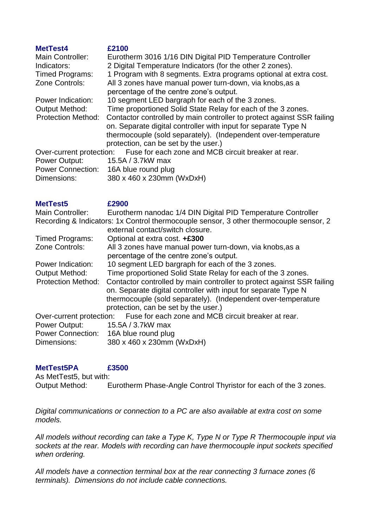| <b>MetTest4</b>           | £2100                                                                  |
|---------------------------|------------------------------------------------------------------------|
| Main Controller:          | Eurotherm 3016 1/16 DIN Digital PID Temperature Controller             |
| Indicators:               | 2 Digital Temperature Indicators (for the other 2 zones).              |
| Timed Programs:           | 1 Program with 8 segments. Extra programs optional at extra cost.      |
| Zone Controls:            | All 3 zones have manual power turn-down, via knobs, as a               |
|                           | percentage of the centre zone's output.                                |
| <b>Power Indication:</b>  | 10 segment LED bargraph for each of the 3 zones.                       |
| <b>Output Method:</b>     | Time proportioned Solid State Relay for each of the 3 zones.           |
| <b>Protection Method:</b> | Contactor controlled by main controller to protect against SSR failing |
|                           | on. Separate digital controller with input for separate Type N         |
|                           | thermocouple (sold separately). (Independent over-temperature          |
|                           | protection, can be set by the user.)                                   |
| Over-current protection:  | Fuse for each zone and MCB circuit breaker at rear.                    |
| Power Output:             | 15.5A / 3.7kW max                                                      |
| <b>Power Connection:</b>  | 16A blue round plug                                                    |
|                           |                                                                        |

Dimensions: 380 x 460 x 230mm (WxDxH)

| <b>MetTest5</b>           | £2900                                                                                  |
|---------------------------|----------------------------------------------------------------------------------------|
| Main Controller:          | Eurotherm nanodac 1/4 DIN Digital PID Temperature Controller                           |
|                           | Recording & Indicators: 1x Control thermocouple sensor, 3 other thermocouple sensor, 2 |
|                           | external contact/switch closure.                                                       |
| <b>Timed Programs:</b>    | Optional at extra cost. +£300                                                          |
| Zone Controls:            | All 3 zones have manual power turn-down, via knobs, as a                               |
|                           | percentage of the centre zone's output.                                                |
| <b>Power Indication:</b>  | 10 segment LED bargraph for each of the 3 zones.                                       |
| <b>Output Method:</b>     | Time proportioned Solid State Relay for each of the 3 zones.                           |
| <b>Protection Method:</b> | Contactor controlled by main controller to protect against SSR failing                 |
|                           | on. Separate digital controller with input for separate Type N                         |
|                           | thermocouple (sold separately). (Independent over-temperature                          |
|                           | protection, can be set by the user.)                                                   |
| Over-current protection:  | Fuse for each zone and MCB circuit breaker at rear.                                    |
| Power Output:             | 15.5A / 3.7kW max                                                                      |
| <b>Power Connection:</b>  | 16A blue round plug                                                                    |

Dimensions: 380 x 460 x 230mm (WxDxH)

### **MetTest5PA £3500**

As MetTest5, but with:

Output Method: Eurotherm Phase-Angle Control Thyristor for each of the 3 zones.

*Digital communications or connection to a PC are also available at extra cost on some models.*

*All models without recording can take a Type K, Type N or Type R Thermocouple input via sockets at the rear. Models with recording can have thermocouple input sockets specified when ordering.*

*All models have a connection terminal box at the rear connecting 3 furnace zones (6 terminals). Dimensions do not include cable connections.*